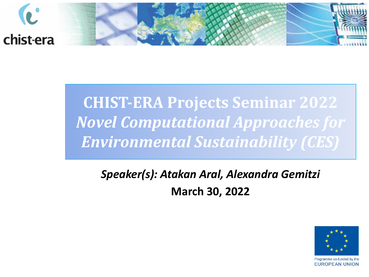

### **CHIST-ERA Projects Seminar 2022** *Novel Computational Approaches for Environmental Sustainability (CES)*

#### *Speaker(s): Atakan Aral, Alexandra Gemitzi* **March 30, 2022**

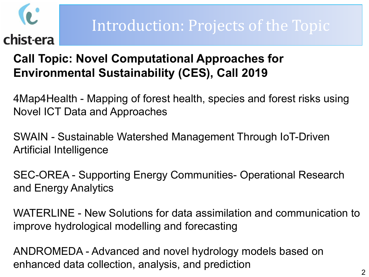#### Introduction: Projects of the Topic

#### **Call Topic: Novel Computational Approaches for Environmental Sustainability (CES), Call 2019**

4Map4Health - Mapping of forest health, species and forest risks using Novel ICT Data and Approaches

SWAIN - Sustainable Watershed Management Through IoT-Driven Artificial Intelligence

SEC-OREA - Supporting Energy Communities- Operational Research and Energy Analytics

WATERLINE - New Solutions for data assimilation and communication to improve hydrological modelling and forecasting

ANDROMEDA - Advanced and novel hydrology models based on enhanced data collection, analysis, and prediction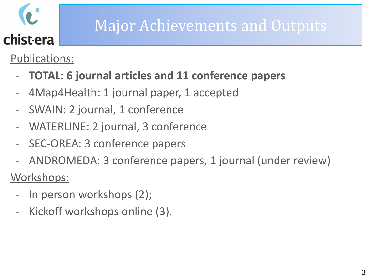### Major Achievements and Outputs

Publications:

- **- TOTAL: 6 journal articles and 11 conference papers**
- 4Map4Health: 1 journal paper, 1 accepted
- SWAIN: 2 journal, 1 conference
- WATERLINE: 2 journal, 3 conference
- SEC-OREA: 3 conference papers
- ANDROMEDA: 3 conference papers, 1 journal (under review)

Workshops:

- In person workshops (2);
- Kickoff workshops online (3).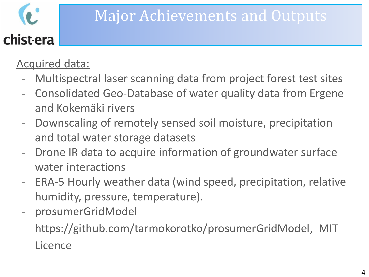#### Major Achievements and Outputs

#### Acquired data:

- Multispectral laser scanning data from project forest test sites
- Consolidated Geo-Database of water quality data from Ergene and Kokemäki rivers
- Downscaling of remotely sensed soil moisture, precipitation and total water storage datasets
- Drone IR data to acquire information of groundwater surface water interactions
- ERA-5 Hourly weather data (wind speed, precipitation, relative humidity, pressure, temperature).
- prosumerGridModel

<https://github.com/tarmokorotko/prosumerGridModel>, MIT **Licence**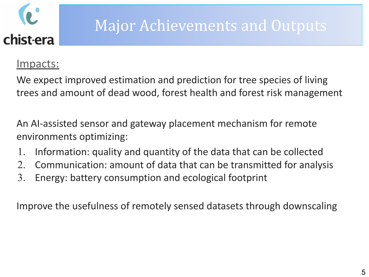

#### Major Achievements and Outputs

#### Impacts:

We expect improved estimation and prediction for tree species of living trees and amount of dead wood, forest health and forest risk management

An AI-assisted sensor and gateway placement mechanism for remote environments optimizing:

- 1. Information: quality and quantity of the data that can be collected
- 2. Communication: amount of data that can be transmitted for analysis
- 3. Energy: battery consumption and ecological footprint

Improve the usefulness of remotely sensed datasets through downscaling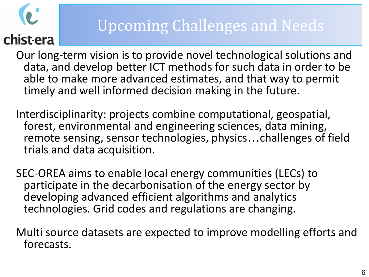### Upcoming Challenges and Needs

Our long-term vision is to provide novel technological solutions and data, and develop better ICT methods for such data in order to be able to make more advanced estimates, and that way to permit timely and well informed decision making in the future.

Interdisciplinarity: projects combine computational, geospatial, forest, environmental and engineering sciences, data mining, remote sensing, sensor technologies, physics…challenges of field trials and data acquisition.

SEC-OREA aims to enable local energy communities (LECs) to participate in the decarbonisation of the energy sector by developing advanced efficient algorithms and analytics technologies. Grid codes and regulations are changing.

Multi source datasets are expected to improve modelling efforts and forecasts.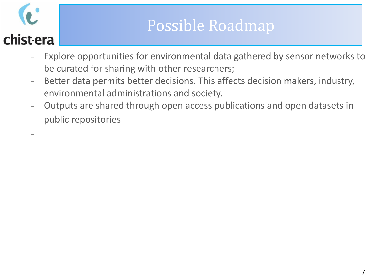-

#### Possible Roadmap

- Explore opportunities for environmental data gathered by sensor networks to be curated for sharing with other researchers;
- Better data permits better decisions. This affects decision makers, industry, environmental administrations and society.
- Outputs are shared through open access publications and open datasets in public repositories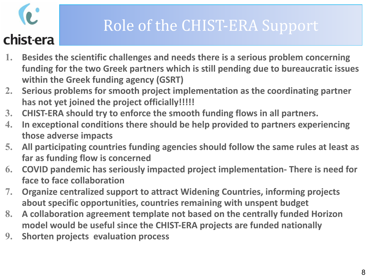### Role of the CHIST-ERA Support

- **1. Besides the scientific challenges and needs there is a serious problem concerning funding for the two Greek partners which is still pending due to bureaucratic issues within the Greek funding agency (GSRT)**
- **2. Serious problems for smooth project implementation as the coordinating partner has not yet joined the project officially!!!!!**
- **3. CHIST-ERA should try to enforce the smooth funding flows in all partners.**
- **4. In exceptional conditions there should be help provided to partners experiencing those adverse impacts**
- **5. All participating countries funding agencies should follow the same rules at least as far as funding flow is concerned**
- **6. COVID pandemic has seriously impacted project implementation- There is need for face to face collaboration**
- **7. Organize centralized support to attract Widening Countries, informing projects about specific opportunities, countries remaining with unspent budget**
- **8. A collaboration agreement template not based on the centrally funded Horizon model would be useful since the CHIST-ERA projects are funded nationally**
- **9. Shorten projects evaluation process**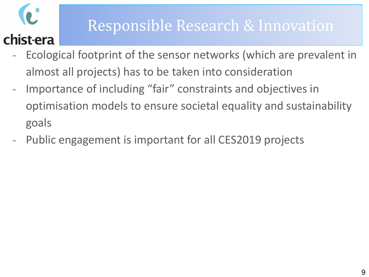#### Responsible Research & Innovation

- Ecological footprint of the sensor networks (which are prevalent in almost all projects) has to be taken into consideration
- Importance of including "fair" constraints and objectives in optimisation models to ensure societal equality and sustainability goals
- Public engagement is important for all CES2019 projects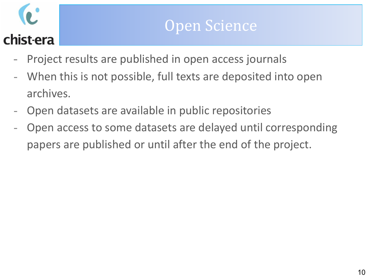- Project results are published in open access journals
- When this is not possible, full texts are deposited into open archives.
- Open datasets are available in public repositories
- Open access to some datasets are delayed until corresponding papers are published or until after the end of the project.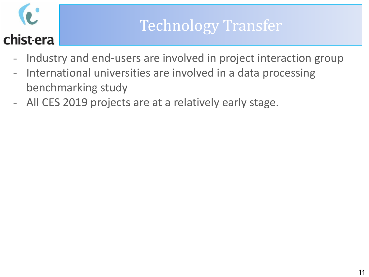#### Technology Transfer

- Industry and end-users are involved in project interaction group
- International universities are involved in a data processing benchmarking study
- All CES 2019 projects are at a relatively early stage.